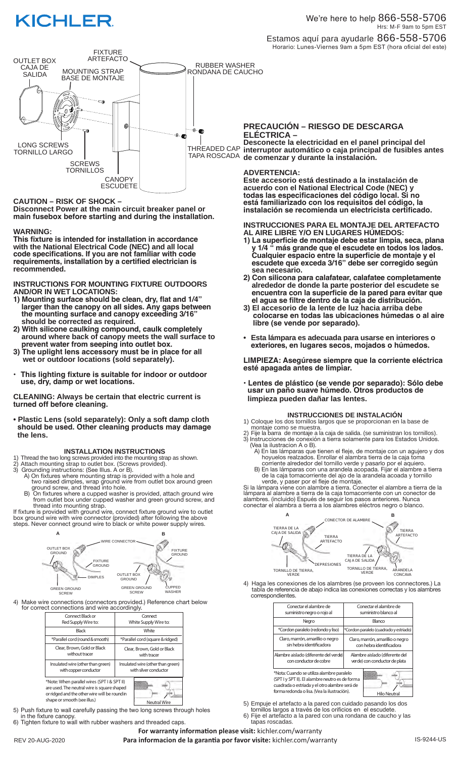



# **CAUTION – RISK OF SHOCK –**

**Disconnect Power at the main circuit breaker panel or main fusebox before starting and during the installation.** 

## **WARNING:**

**This fixture is intended for installation in accordance with the National Electrical Code (NEC) and all local code specifications. If you are not familiar with code requirements, installation by a certified electrician is recommended.**

**INSTRUCTIONS FOR MOUNTING FIXTURE OUTDOORS AND/OR IN WET LOCATIONS:**

- **1) Mounting surface should be clean, dry, flat and 1/4" larger than the canopy on all sides. Any gaps between the mounting surface and canopy exceeding 3/16" should be corrected as required.**
- **2) With silicone caulking compound, caulk completely around where back of canopy meets the wall surface to prevent water from seeping into outlet box.**
- **3) The uplight lens accessory must be in place for all wet or outdoor locations (sold separately).**
- **This lighting fixture is suitable for indoor or outdoor use, dry, damp or wet locations.**

**CLEANING: Always be certain that electric current is turned off before cleaning.**

**• Plastic Lens (sold separately): Only a soft damp cloth should be used. Other cleaning products may damage the lens.**

#### **INSTALLATION INSTRUCTIONS**

- 1) Thread the two long screws provided into the mounting strap as shown.
- 2) Attach mounting strap to outlet box. (Screws provided).
- 3) Grounding instructions: (See Illus. A or B). A) On fixtures where mounting strap is provided with a hole and two raised dimples, wrap ground wire from outlet box around green ground screw, and thread into hole.
- B) On fixtures where a cupped washer is provided, attach ground wire from outlet box under cupped washer and green ground screw, and thread into mounting strap.

If fixture is provided with ground wire, connect fixture ground wire to outlet box ground wire with wire connector (provided) after following the above steps. Never connect ground wire to black or white power supply wires.



4) Make wire connections (connectors provided.) Reference chart below for correct connections and wire accordingly.

| Connect Black or<br>Red Supply Wire to:                                                                                                                                                            | Connect<br>White Supply Wire to:                           |
|----------------------------------------------------------------------------------------------------------------------------------------------------------------------------------------------------|------------------------------------------------------------|
| <b>Black</b>                                                                                                                                                                                       | White                                                      |
| *Parallel cord (round & smooth)                                                                                                                                                                    | *Parallel cord (square & ridged)                           |
| Clear, Brown, Gold or Black<br>without tracer                                                                                                                                                      | Clear, Brown, Gold or Black<br>with tracer                 |
| Insulated wire (other than green)<br>with copper conductor                                                                                                                                         | Insulated wire (other than green)<br>with silver conductor |
| *Note: When parallel wires (SPT I & SPT II)<br>are used. The neutral wire is square shaped<br>or ridged and the other wire will be round in<br>shape or smooth (see illus.)<br><b>Neutral Wire</b> |                                                            |

5) Push fixture to wall carefully passing the two long screws through holes

 in the fixture canopy. 6) Tighten fixture to wall with rubber washers and threaded caps.

# **PRECAUCIÓN – RIESGO DE DESCARGA ELÉCTRICA –**

**Desconecte la electricidad en el panel principal del interruptor automático o caja principal de fusibles antes de comenzar y durante la instalación.** 

### **ADVERTENCIA:**

**Este accesorio está destinado a la instalación de acuerdo con el National Electrical Code (NEC) y todas las especificaciones del código local. Si no está familiarizado con los requisitos del código, la instalación se recomienda un electricista certificado.**

### **INSTRUCCIONES PARA EL MONTAJE DEL ARTEFACTO AL AIRE LIBRE Y/O EN LUGARES HÚMEDOS:**

- **1) La superficie de montaje debe estar limpia, seca, plana y 1/4 " más grande que el escudete en todos los lados. Cualquier espacio entre la superficie de montaje y el escudete que exceda 3/16" debe ser corregido según sea necesario.**
- **2) Con silicona para calafatear, calafatee completamente alrededor de donde la parte posterior del escudete se encuentra con la superficie de la pared para evitar que el agua se filtre dentro de la caja de distribución.**
- **3) El accesorio de la lente de luz hacia arriba debe colocarse en todas las ubicaciones húmedas o al aire libre (se vende por separado).**
- **Esta lámpara es adecuada para usarse en interiores o exteriores, en lugares secos, mojados o húmedos.**

**LIMPIEZA: Asegúrese siempre que la corriente eléctrica esté apagada antes de limpiar.**

**• Lentes de plástico (se vende por separado): Sólo debe usar un paño suave húmedo. Otros productos de limpieza pueden dañar las lentes.**

**INSTRUCCIONES DE INSTALACION**<br>1) Coloque los dos tornillos largos que se proporcionan en la base de montaje como se muestra.

- 2) Fije la barra de montaje a la caja de salida. (se suministran los tornillos). 3) Instrucciones de conexión a tierra solamente para los Estados Unidos.
- (Vea la ilustracion A o B). A) En las lámparas que tienen el fleje, de montaje con un agujero y dos hoyuelos realzados. Enrollar el alambra tierra de la caja toma
- corriente alrededor del tornillo verde y pasarlo por el aquiero. B) En las lámparas con una arandela acopada. Fijar el alambre a tierra
- de la caja tomacorriente del ajo de la arandela acoada y tornillo verde, y paser por el fleje de montaje.

Si la lámpara viene con alambre a tierra. Conecter el alambre a tierra de la lámpara al alambre a tierra de la caja tomacorriente con un conector de alambres. (incluido) Espués de seguir los pasos anteriores. Nunca conectar el alambra a tierra a los alambres eléctros negro o blanco.



4) Haga les conexiones de los alambres (se proveen los connectores.) La tabla de referencia de abajo indica las conexiones correctas y los alambres correspondientes.

| Conectar el alambre de<br>suministro negro o rojo al                                                                                                                                         | Conectar el alambre de<br>suministro blanco al                  |
|----------------------------------------------------------------------------------------------------------------------------------------------------------------------------------------------|-----------------------------------------------------------------|
| Negro                                                                                                                                                                                        | Blanco                                                          |
| *Cordon paralelo (redondo y liso)                                                                                                                                                            | *Cordon paralelo (cuadrado y estriado)                          |
| Claro, marrón, amarillio o negro<br>sin hebra identificadora                                                                                                                                 | Claro, marrón, amarillio o negro<br>con hebra identificadora    |
| Alambre aislado (diferente del verde)<br>con conductor de cobre                                                                                                                              | Alambre aislado (diferente del<br>verde) con conductor de plata |
| *Nota: Cuando se utiliza alambre paralelo<br>(SPT I y SPT II). El alambre neutro es de forma<br>cuadrada o estriada y el otro alambre será de<br>forma redonda o lisa. (Vea la ilustración). | <b>Hilo Neutral</b>                                             |

5) Empuje el artefacto a la pared con cuidado pasando los dos tornillos largos <sup>a</sup> través de los orificios en el escudete.

- 6) Fije el artefacto a la pared con una rondana de caucho y las
- tapas roscadas. **For warranty information please visit:** kichler.com/warranty

REV 20-AUG-2020 **Para informacion de la garantia por favor visite:** kichler.com/warranty **Researce August August Au**